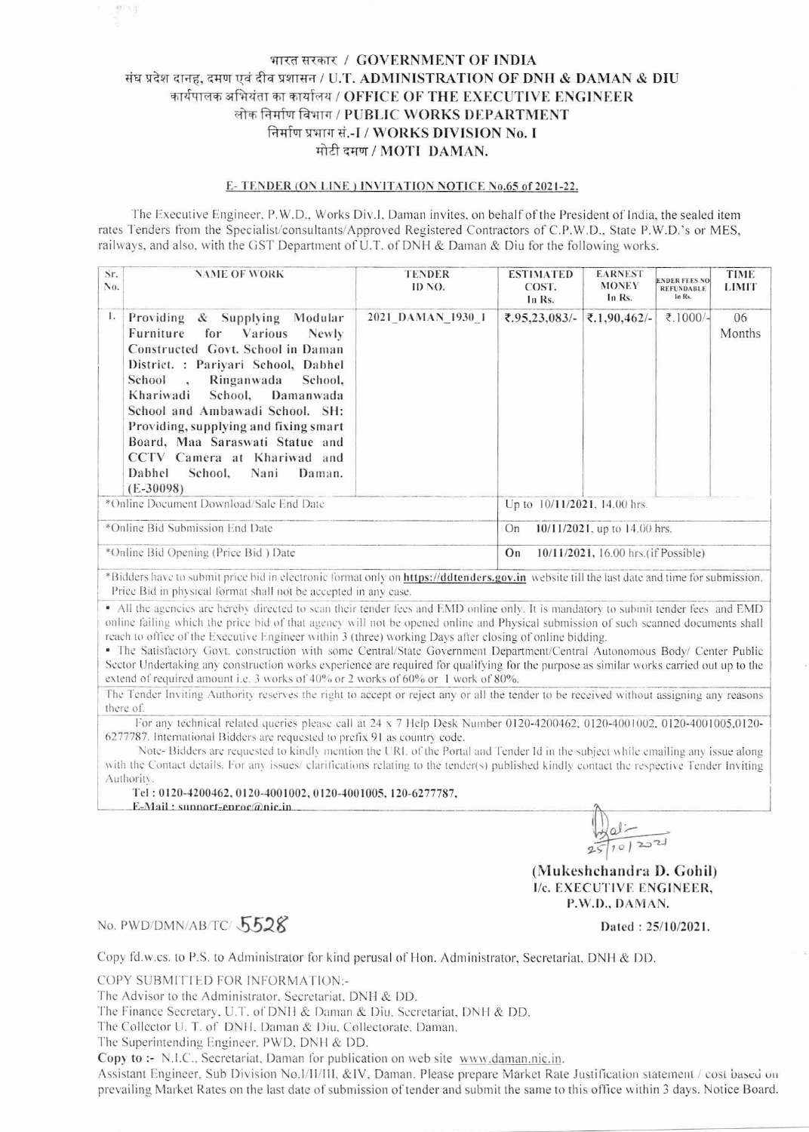## भारत सरकार / GOVERNMENT OF INDIA संघ प्रदेश दानह, दमण एवं दीव प्रशासन / U.T. ADMINISTRATION OF DNH & DAMAN & DIU कार्यपालक अभियंता का कार्यालय / OFFICE OF THE EXECUTIVE ENGINEER लोक निर्माण विभाग / PUBLIC WORKS DEPARTMENT निर्माण प्रभाग सं.-I / WORKS DIVISION No. I मोटी दमण / MOTI DAMAN.

## E-TENDER (ON LINE) INVITATION NOTICE No.65 of 2021-22.

The Executive Engineer, P.W.D., Works Div.I, Daman invites, on behalf of the President of India, the sealed item rates Tenders from the Specialist/consultants/Approved Registered Contractors of C.P.W.D., State P.W.D.'s or MES, railways, and also, with the GST Department of U.T. of DNH & Daman & Diu for the following works.

| No.                                     | Sr.<br><b>NAME OF WORK</b>                                                                                                                                                                                                                                                                                                                                                                                                   | <b>TENDER</b><br>ID NO. | <b>ESTIMATED</b><br>COST.<br>In Rs.        | <b>EARNEST</b><br><b>MONEY</b><br>In Rs. | <b>ENDER FEES NO</b><br><b>REFUNDABLE</b><br>In Rs. | <b>TIME</b><br><b>LIMIT</b> |  |
|-----------------------------------------|------------------------------------------------------------------------------------------------------------------------------------------------------------------------------------------------------------------------------------------------------------------------------------------------------------------------------------------------------------------------------------------------------------------------------|-------------------------|--------------------------------------------|------------------------------------------|-----------------------------------------------------|-----------------------------|--|
| L.                                      | Providing & Supplying<br>Modular<br>Furniture<br>for Various<br><b>Newly</b><br>Constructed Govt. School in Daman<br>District. : Pariyari School, Dabhel<br>School.<br>Ringanwada School,<br>Khariwadi<br>School, Damanwada<br>School and Ambawadi School. SH:<br>Providing, supplying and fixing smart<br>Board, Maa Saraswati Statue and<br>CCTV Camera at Khariwad and<br>Dabhel<br>School, Nani<br>Daman.<br>$(E-30098)$ | 2021 DAMAN 1930 1       | 7.95,23,083/                               | ₹.1,90,462/-                             | ₹.1000/-                                            | 06<br>Months                |  |
| *Online Document Download/Sale End Date |                                                                                                                                                                                                                                                                                                                                                                                                                              |                         | Up to 10/11/2021, 14.00 hrs.               |                                          |                                                     |                             |  |
| *Online Bid Submission End Date         |                                                                                                                                                                                                                                                                                                                                                                                                                              |                         | 10/11/2021, up to 14.00 hrs.<br>On         |                                          |                                                     |                             |  |
| *Online Bid Opening (Price Bid) Date    |                                                                                                                                                                                                                                                                                                                                                                                                                              |                         | On<br>10/11/2021, 16.00 hrs. (if Possible) |                                          |                                                     |                             |  |

\*Bidders have to submit price bid in electronic format only on https://ddtenders.gov.in website till the last date and time for submission. Price Bid in physical format shall not be accepted in any case.

• All the agencies are hereby directed to scan their tender fees and EMD online only. It is mandatory to submit tender fees and EMD online failing which the price bid of that agency will not be opened online and Physical submission of such scanned documents shall reach to office of the Executive Engineer within 3 (three) working Days after closing of online bidding.

· The Satisfactory Govt. construction with some Central/State Government Department/Central Autonomous Body/ Center Public Sector Undertaking any construction works experience are required for qualifying for the purpose as similar works carried out up to the extend of required amount i.e. 3 works of 40% or 2 works of 60% or 1 work of 80%.

The Tender Inviting Authority reserves the right to accept or reject any or all the tender to be received without assigning any reasons there of.

For any technical related queries please call at 24 x 7 Help Desk Number 0120-4200462, 0120-4001002, 0120-4001005.0120-6277787. International Bidders are requested to prefix 91 as country code.

Note-Bidders are requested to kindly mention the URL of the Portal and Tender Id in the subject while emailing any issue along with the Contact details. For any issues/ clarifications relating to the tender(s) published kindly contact the respective Tender Inviting Authority.

Tel: 0120-4200462, 0120-4001002, 0120-4001005, 120-6277787,

E-Mail: sunnort-enroc@nic.in

 $\frac{1}{251012221}$ 

(Mukeshchandra D. Gohil) I/c. EXECUTIVE ENGINEER, P.W.D., DAMAN.

## No. PWD/DMN/AB/TC/5528

机可

Dated: 25/10/2021.

Copy fd.w.cs. to P.S. to Administrator for kind perusal of Hon. Administrator, Secretariat, DNH & DD.

COPY SUBMITTED FOR INFORMATION:-

The Advisor to the Administrator, Secretariat, DNH & DD.

The Finance Secretary, U.T. of DNH & Daman & Diu, Secretariat, DNH & DD.

The Collector U. T. of DNH, Daman & Diu, Collectorate, Daman.

The Superintending Engineer, PWD, DNH & DD.

Copy to :- N.I.C., Secretariat, Daman for publication on web site www.daman.nic.in.

Assistant Engineer, Sub Division No.1/II/III, &IV, Daman. Please prepare Market Rate Justification statement / cost based on prevailing Market Rates on the last date of submission of tender and submit the same to this office within 3 days. Notice Board.